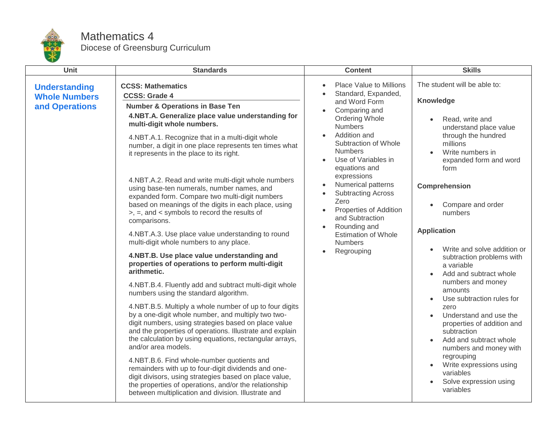

## Mathematics 4 Diocese of Greensburg Curriculum

| <b>Unit</b>                                                    | <b>Standards</b>                                                                                                                                                                                                                                                                                                                                                                                                                                                                                                                                                                                                                                                                                                                                                                                                                                                                                                                                                                                                                                                                                                                                                                                     | <b>Content</b>                                                                                                                                                                                                                                                | <b>Skills</b>                                                                                                                                                                                                                                                                                                                                                                                                                                                                     |
|----------------------------------------------------------------|------------------------------------------------------------------------------------------------------------------------------------------------------------------------------------------------------------------------------------------------------------------------------------------------------------------------------------------------------------------------------------------------------------------------------------------------------------------------------------------------------------------------------------------------------------------------------------------------------------------------------------------------------------------------------------------------------------------------------------------------------------------------------------------------------------------------------------------------------------------------------------------------------------------------------------------------------------------------------------------------------------------------------------------------------------------------------------------------------------------------------------------------------------------------------------------------------|---------------------------------------------------------------------------------------------------------------------------------------------------------------------------------------------------------------------------------------------------------------|-----------------------------------------------------------------------------------------------------------------------------------------------------------------------------------------------------------------------------------------------------------------------------------------------------------------------------------------------------------------------------------------------------------------------------------------------------------------------------------|
| <b>Understanding</b><br><b>Whole Numbers</b><br>and Operations | <b>CCSS: Mathematics</b><br><b>CCSS: Grade 4</b><br><b>Number &amp; Operations in Base Ten</b><br>4.NBT.A. Generalize place value understanding for<br>multi-digit whole numbers.<br>4.NBT.A.1. Recognize that in a multi-digit whole<br>number, a digit in one place represents ten times what<br>it represents in the place to its right.                                                                                                                                                                                                                                                                                                                                                                                                                                                                                                                                                                                                                                                                                                                                                                                                                                                          | Place Value to Millions<br>$\bullet$<br>Standard, Expanded,<br>and Word Form<br>Comparing and<br>$\bullet$<br>Ordering Whole<br><b>Numbers</b><br>Addition and<br>Subtraction of Whole<br><b>Numbers</b><br>Use of Variables in<br>$\bullet$<br>equations and | The student will be able to:<br>Knowledge<br>Read, write and<br>understand place value<br>through the hundred<br>millions<br>Write numbers in<br>$\bullet$<br>expanded form and word<br>form                                                                                                                                                                                                                                                                                      |
|                                                                | 4.NBT.A.2. Read and write multi-digit whole numbers<br>using base-ten numerals, number names, and<br>expanded form. Compare two multi-digit numbers<br>based on meanings of the digits in each place, using<br>>, =, and < symbols to record the results of<br>comparisons.<br>4.NBT.A.3. Use place value understanding to round<br>multi-digit whole numbers to any place.<br>4.NBT.B. Use place value understanding and<br>properties of operations to perform multi-digit<br>arithmetic.<br>4.NBT.B.4. Fluently add and subtract multi-digit whole<br>numbers using the standard algorithm.<br>4.NBT.B.5. Multiply a whole number of up to four digits<br>by a one-digit whole number, and multiply two two-<br>digit numbers, using strategies based on place value<br>and the properties of operations. Illustrate and explain<br>the calculation by using equations, rectangular arrays,<br>and/or area models.<br>4.NBT.B.6. Find whole-number quotients and<br>remainders with up to four-digit dividends and one-<br>digit divisors, using strategies based on place value,<br>the properties of operations, and/or the relationship<br>between multiplication and division. Illustrate and | expressions<br>Numerical patterns<br>$\bullet$<br><b>Subtracting Across</b><br>Zero<br>Properties of Addition<br>$\bullet$<br>and Subtraction<br>Rounding and<br>$\bullet$<br><b>Estimation of Whole</b><br><b>Numbers</b><br>Regrouping<br>$\bullet$         | Comprehension<br>Compare and order<br>numbers<br><b>Application</b><br>Write and solve addition or<br>subtraction problems with<br>a variable<br>Add and subtract whole<br>numbers and money<br>amounts<br>Use subtraction rules for<br>zero<br>Understand and use the<br>properties of addition and<br>subtraction<br>Add and subtract whole<br>$\bullet$<br>numbers and money with<br>regrouping<br>Write expressions using<br>variables<br>Solve expression using<br>variables |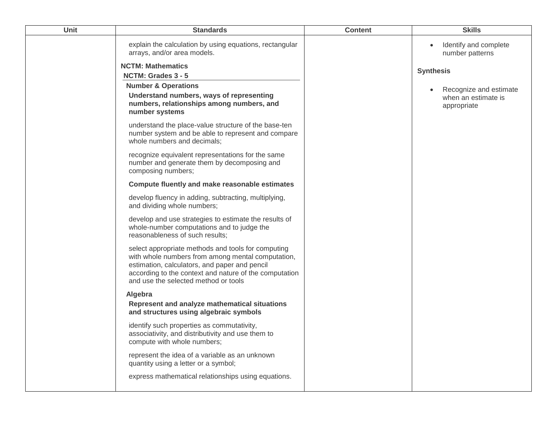| Unit | <b>Standards</b>                                                                                                                                                                                                                                           | <b>Content</b> | <b>Skills</b>                                                |
|------|------------------------------------------------------------------------------------------------------------------------------------------------------------------------------------------------------------------------------------------------------------|----------------|--------------------------------------------------------------|
|      | explain the calculation by using equations, rectangular<br>arrays, and/or area models.                                                                                                                                                                     |                | Identify and complete<br>number patterns                     |
|      | <b>NCTM: Mathematics</b>                                                                                                                                                                                                                                   |                | <b>Synthesis</b>                                             |
|      | NCTM: Grades 3 - 5<br><b>Number &amp; Operations</b>                                                                                                                                                                                                       |                |                                                              |
|      | Understand numbers, ways of representing<br>numbers, relationships among numbers, and<br>number systems                                                                                                                                                    |                | Recognize and estimate<br>when an estimate is<br>appropriate |
|      | understand the place-value structure of the base-ten<br>number system and be able to represent and compare<br>whole numbers and decimals;                                                                                                                  |                |                                                              |
|      | recognize equivalent representations for the same<br>number and generate them by decomposing and<br>composing numbers;                                                                                                                                     |                |                                                              |
|      | Compute fluently and make reasonable estimates                                                                                                                                                                                                             |                |                                                              |
|      | develop fluency in adding, subtracting, multiplying,<br>and dividing whole numbers;                                                                                                                                                                        |                |                                                              |
|      | develop and use strategies to estimate the results of<br>whole-number computations and to judge the<br>reasonableness of such results;                                                                                                                     |                |                                                              |
|      | select appropriate methods and tools for computing<br>with whole numbers from among mental computation,<br>estimation, calculators, and paper and pencil<br>according to the context and nature of the computation<br>and use the selected method or tools |                |                                                              |
|      | Algebra<br>Represent and analyze mathematical situations<br>and structures using algebraic symbols                                                                                                                                                         |                |                                                              |
|      | identify such properties as commutativity,<br>associativity, and distributivity and use them to<br>compute with whole numbers;                                                                                                                             |                |                                                              |
|      | represent the idea of a variable as an unknown<br>quantity using a letter or a symbol;                                                                                                                                                                     |                |                                                              |
|      | express mathematical relationships using equations.                                                                                                                                                                                                        |                |                                                              |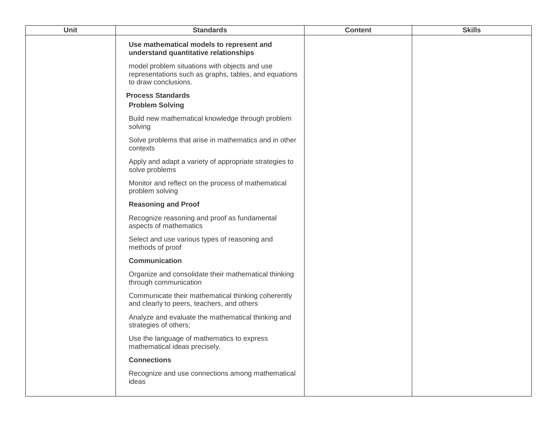| Use mathematical models to represent and<br>understand quantitative relationships<br>model problem situations with objects and use<br>representations such as graphs, tables, and equations<br>to draw conclusions.<br><b>Process Standards</b><br><b>Problem Solving</b><br>Build new mathematical knowledge through problem<br>solving<br>Solve problems that arise in mathematics and in other<br>contexts<br>Apply and adapt a variety of appropriate strategies to<br>solve problems<br>Monitor and reflect on the process of mathematical<br>problem solving<br><b>Reasoning and Proof</b><br>Recognize reasoning and proof as fundamental<br>aspects of mathematics<br>Select and use various types of reasoning and<br>methods of proof<br><b>Communication</b><br>Organize and consolidate their mathematical thinking<br>through communication<br>Communicate their mathematical thinking coherently | <b>Unit</b> | <b>Standards</b>                           | <b>Content</b> | <b>Skills</b> |
|----------------------------------------------------------------------------------------------------------------------------------------------------------------------------------------------------------------------------------------------------------------------------------------------------------------------------------------------------------------------------------------------------------------------------------------------------------------------------------------------------------------------------------------------------------------------------------------------------------------------------------------------------------------------------------------------------------------------------------------------------------------------------------------------------------------------------------------------------------------------------------------------------------------|-------------|--------------------------------------------|----------------|---------------|
|                                                                                                                                                                                                                                                                                                                                                                                                                                                                                                                                                                                                                                                                                                                                                                                                                                                                                                                |             |                                            |                |               |
|                                                                                                                                                                                                                                                                                                                                                                                                                                                                                                                                                                                                                                                                                                                                                                                                                                                                                                                |             |                                            |                |               |
|                                                                                                                                                                                                                                                                                                                                                                                                                                                                                                                                                                                                                                                                                                                                                                                                                                                                                                                |             |                                            |                |               |
|                                                                                                                                                                                                                                                                                                                                                                                                                                                                                                                                                                                                                                                                                                                                                                                                                                                                                                                |             |                                            |                |               |
|                                                                                                                                                                                                                                                                                                                                                                                                                                                                                                                                                                                                                                                                                                                                                                                                                                                                                                                |             |                                            |                |               |
|                                                                                                                                                                                                                                                                                                                                                                                                                                                                                                                                                                                                                                                                                                                                                                                                                                                                                                                |             |                                            |                |               |
|                                                                                                                                                                                                                                                                                                                                                                                                                                                                                                                                                                                                                                                                                                                                                                                                                                                                                                                |             |                                            |                |               |
|                                                                                                                                                                                                                                                                                                                                                                                                                                                                                                                                                                                                                                                                                                                                                                                                                                                                                                                |             |                                            |                |               |
|                                                                                                                                                                                                                                                                                                                                                                                                                                                                                                                                                                                                                                                                                                                                                                                                                                                                                                                |             |                                            |                |               |
|                                                                                                                                                                                                                                                                                                                                                                                                                                                                                                                                                                                                                                                                                                                                                                                                                                                                                                                |             |                                            |                |               |
|                                                                                                                                                                                                                                                                                                                                                                                                                                                                                                                                                                                                                                                                                                                                                                                                                                                                                                                |             |                                            |                |               |
|                                                                                                                                                                                                                                                                                                                                                                                                                                                                                                                                                                                                                                                                                                                                                                                                                                                                                                                |             |                                            |                |               |
|                                                                                                                                                                                                                                                                                                                                                                                                                                                                                                                                                                                                                                                                                                                                                                                                                                                                                                                |             | and clearly to peers, teachers, and others |                |               |
| Analyze and evaluate the mathematical thinking and<br>strategies of others;                                                                                                                                                                                                                                                                                                                                                                                                                                                                                                                                                                                                                                                                                                                                                                                                                                    |             |                                            |                |               |
| Use the language of mathematics to express<br>mathematical ideas precisely.                                                                                                                                                                                                                                                                                                                                                                                                                                                                                                                                                                                                                                                                                                                                                                                                                                    |             |                                            |                |               |
| <b>Connections</b>                                                                                                                                                                                                                                                                                                                                                                                                                                                                                                                                                                                                                                                                                                                                                                                                                                                                                             |             |                                            |                |               |
| Recognize and use connections among mathematical<br>ideas                                                                                                                                                                                                                                                                                                                                                                                                                                                                                                                                                                                                                                                                                                                                                                                                                                                      |             |                                            |                |               |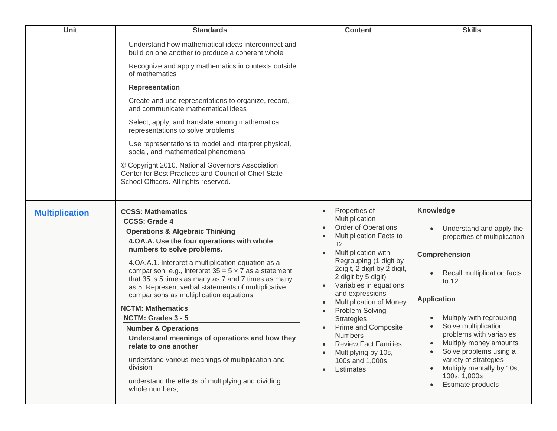| Unit                  | <b>Standards</b>                                                                                                                                                                                                                                                                                                                                                                                                                                                                                                                                                                                                                                                                                                                                                    | <b>Content</b>                                                                                                                                                                                                                                                                                                                                                                                                                                                                                                               | <b>Skills</b>                                                                                                                                                                                                                                                                                                                                                                             |
|-----------------------|---------------------------------------------------------------------------------------------------------------------------------------------------------------------------------------------------------------------------------------------------------------------------------------------------------------------------------------------------------------------------------------------------------------------------------------------------------------------------------------------------------------------------------------------------------------------------------------------------------------------------------------------------------------------------------------------------------------------------------------------------------------------|------------------------------------------------------------------------------------------------------------------------------------------------------------------------------------------------------------------------------------------------------------------------------------------------------------------------------------------------------------------------------------------------------------------------------------------------------------------------------------------------------------------------------|-------------------------------------------------------------------------------------------------------------------------------------------------------------------------------------------------------------------------------------------------------------------------------------------------------------------------------------------------------------------------------------------|
|                       | Understand how mathematical ideas interconnect and<br>build on one another to produce a coherent whole<br>Recognize and apply mathematics in contexts outside<br>of mathematics<br><b>Representation</b><br>Create and use representations to organize, record,<br>and communicate mathematical ideas<br>Select, apply, and translate among mathematical<br>representations to solve problems<br>Use representations to model and interpret physical,<br>social, and mathematical phenomena<br>© Copyright 2010. National Governors Association<br>Center for Best Practices and Council of Chief State<br>School Officers. All rights reserved.                                                                                                                    |                                                                                                                                                                                                                                                                                                                                                                                                                                                                                                                              |                                                                                                                                                                                                                                                                                                                                                                                           |
| <b>Multiplication</b> | <b>CCSS: Mathematics</b><br><b>CCSS: Grade 4</b><br><b>Operations &amp; Algebraic Thinking</b><br>4.OA.A. Use the four operations with whole<br>numbers to solve problems.<br>4.OA.A.1. Interpret a multiplication equation as a<br>comparison, e.g., interpret $35 = 5 \times 7$ as a statement<br>that 35 is 5 times as many as 7 and 7 times as many<br>as 5. Represent verbal statements of multiplicative<br>comparisons as multiplication equations.<br><b>NCTM: Mathematics</b><br>NCTM: Grades 3 - 5<br><b>Number &amp; Operations</b><br>Understand meanings of operations and how they<br>relate to one another<br>understand various meanings of multiplication and<br>division;<br>understand the effects of multiplying and dividing<br>whole numbers; | Properties of<br>$\bullet$<br>Multiplication<br>Order of Operations<br>$\bullet$<br>Multiplication Facts to<br>$\bullet$<br>12<br>Multiplication with<br>Regrouping (1 digit by<br>2digit, 2 digit by 2 digit,<br>2 digit by 5 digit)<br>Variables in equations<br>and expressions<br><b>Multiplication of Money</b><br>$\bullet$<br>Problem Solving<br>$\bullet$<br><b>Strategies</b><br><b>Prime and Composite</b><br><b>Numbers</b><br><b>Review Fact Families</b><br>Multiplying by 10s,<br>100s and 1,000s<br>Estimates | <b>Knowledge</b><br>Understand and apply the<br>properties of multiplication<br>Comprehension<br>Recall multiplication facts<br>to 12<br><b>Application</b><br>Multiply with regrouping<br>Solve multiplication<br>problems with variables<br>Multiply money amounts<br>Solve problems using a<br>variety of strategies<br>Multiply mentally by 10s,<br>100s, 1,000s<br>Estimate products |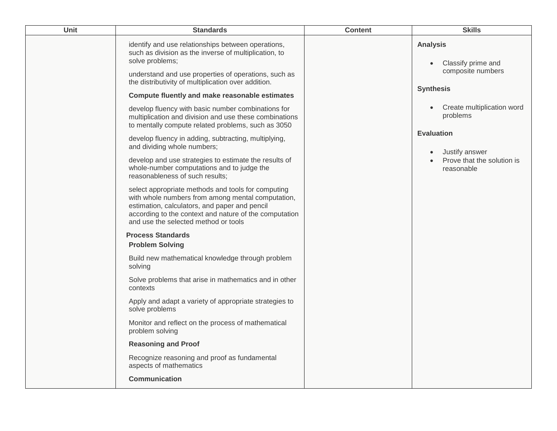| Unit | <b>Standards</b>                                                                                                                                                                                                                                           | <b>Content</b> | <b>Skills</b>                                              |
|------|------------------------------------------------------------------------------------------------------------------------------------------------------------------------------------------------------------------------------------------------------------|----------------|------------------------------------------------------------|
|      | identify and use relationships between operations,<br>such as division as the inverse of multiplication, to<br>solve problems;                                                                                                                             |                | <b>Analysis</b><br>Classify prime and                      |
|      | understand and use properties of operations, such as<br>the distributivity of multiplication over addition.                                                                                                                                                |                | composite numbers                                          |
|      | Compute fluently and make reasonable estimates                                                                                                                                                                                                             |                | <b>Synthesis</b>                                           |
|      | develop fluency with basic number combinations for<br>multiplication and division and use these combinations<br>to mentally compute related problems, such as 3050                                                                                         |                | Create multiplication word<br>problems                     |
|      | develop fluency in adding, subtracting, multiplying,<br>and dividing whole numbers;                                                                                                                                                                        |                | <b>Evaluation</b>                                          |
|      | develop and use strategies to estimate the results of<br>whole-number computations and to judge the<br>reasonableness of such results;                                                                                                                     |                | Justify answer<br>Prove that the solution is<br>reasonable |
|      | select appropriate methods and tools for computing<br>with whole numbers from among mental computation,<br>estimation, calculators, and paper and pencil<br>according to the context and nature of the computation<br>and use the selected method or tools |                |                                                            |
|      | <b>Process Standards</b><br><b>Problem Solving</b>                                                                                                                                                                                                         |                |                                                            |
|      | Build new mathematical knowledge through problem<br>solving                                                                                                                                                                                                |                |                                                            |
|      | Solve problems that arise in mathematics and in other<br>contexts                                                                                                                                                                                          |                |                                                            |
|      | Apply and adapt a variety of appropriate strategies to<br>solve problems                                                                                                                                                                                   |                |                                                            |
|      | Monitor and reflect on the process of mathematical<br>problem solving                                                                                                                                                                                      |                |                                                            |
|      | <b>Reasoning and Proof</b>                                                                                                                                                                                                                                 |                |                                                            |
|      | Recognize reasoning and proof as fundamental<br>aspects of mathematics                                                                                                                                                                                     |                |                                                            |
|      | <b>Communication</b>                                                                                                                                                                                                                                       |                |                                                            |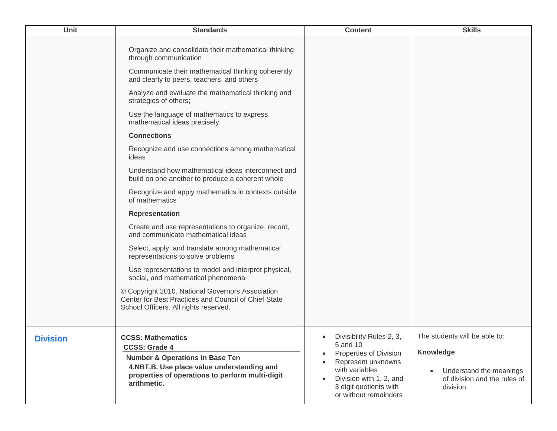| <b>Unit</b>     | <b>Standards</b>                                                                                                                                                                                                                                                                                                                                                                                                                                                                                                                                                                                                                                                                                                                                                                                                                                                                                                                                                                                                                                                                       | <b>Content</b>                                                                                                                                                                       | <b>Skills</b>                                                                                                     |
|-----------------|----------------------------------------------------------------------------------------------------------------------------------------------------------------------------------------------------------------------------------------------------------------------------------------------------------------------------------------------------------------------------------------------------------------------------------------------------------------------------------------------------------------------------------------------------------------------------------------------------------------------------------------------------------------------------------------------------------------------------------------------------------------------------------------------------------------------------------------------------------------------------------------------------------------------------------------------------------------------------------------------------------------------------------------------------------------------------------------|--------------------------------------------------------------------------------------------------------------------------------------------------------------------------------------|-------------------------------------------------------------------------------------------------------------------|
|                 | Organize and consolidate their mathematical thinking<br>through communication<br>Communicate their mathematical thinking coherently<br>and clearly to peers, teachers, and others<br>Analyze and evaluate the mathematical thinking and<br>strategies of others;<br>Use the language of mathematics to express<br>mathematical ideas precisely.<br><b>Connections</b><br>Recognize and use connections among mathematical<br>ideas<br>Understand how mathematical ideas interconnect and<br>build on one another to produce a coherent whole<br>Recognize and apply mathematics in contexts outside<br>of mathematics<br><b>Representation</b><br>Create and use representations to organize, record,<br>and communicate mathematical ideas<br>Select, apply, and translate among mathematical<br>representations to solve problems<br>Use representations to model and interpret physical,<br>social, and mathematical phenomena<br>© Copyright 2010. National Governors Association<br>Center for Best Practices and Council of Chief State<br>School Officers. All rights reserved. |                                                                                                                                                                                      |                                                                                                                   |
| <b>Division</b> | <b>CCSS: Mathematics</b><br><b>CCSS: Grade 4</b><br><b>Number &amp; Operations in Base Ten</b><br>4.NBT.B. Use place value understanding and<br>properties of operations to perform multi-digit<br>arithmetic.                                                                                                                                                                                                                                                                                                                                                                                                                                                                                                                                                                                                                                                                                                                                                                                                                                                                         | Divisibility Rules 2, 3,<br>5 and 10<br>Properties of Division<br>Represent unknowns<br>with variables<br>Division with 1, 2, and<br>3 digit quotients with<br>or without remainders | The students will be able to:<br>Knowledge<br>Understand the meanings<br>of division and the rules of<br>division |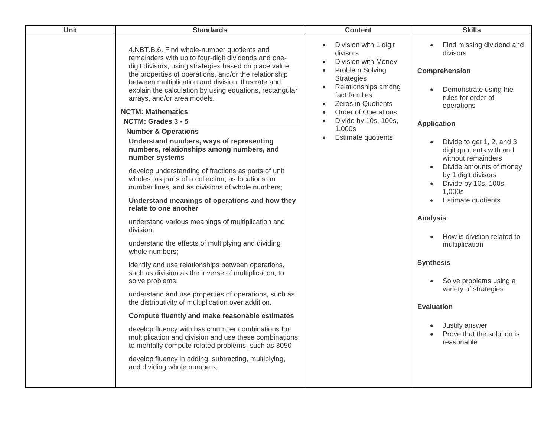| Unit | <b>Standards</b>                                                                                                                                                                                                                                                                                                                                                                                                                                                                                                                                                                                                                                                                                                                                                                                                                                                                                                                                                                                                                                                                                                                                                                                                                                                                                                                                                                                                                                                                                                          | <b>Content</b>                                                                                                                                                                                                                                              | <b>Skills</b>                                                                                                                                                                                                                                                                                                                                                                                                                                                                                                                                                                             |
|------|---------------------------------------------------------------------------------------------------------------------------------------------------------------------------------------------------------------------------------------------------------------------------------------------------------------------------------------------------------------------------------------------------------------------------------------------------------------------------------------------------------------------------------------------------------------------------------------------------------------------------------------------------------------------------------------------------------------------------------------------------------------------------------------------------------------------------------------------------------------------------------------------------------------------------------------------------------------------------------------------------------------------------------------------------------------------------------------------------------------------------------------------------------------------------------------------------------------------------------------------------------------------------------------------------------------------------------------------------------------------------------------------------------------------------------------------------------------------------------------------------------------------------|-------------------------------------------------------------------------------------------------------------------------------------------------------------------------------------------------------------------------------------------------------------|-------------------------------------------------------------------------------------------------------------------------------------------------------------------------------------------------------------------------------------------------------------------------------------------------------------------------------------------------------------------------------------------------------------------------------------------------------------------------------------------------------------------------------------------------------------------------------------------|
|      | 4.NBT.B.6. Find whole-number quotients and<br>remainders with up to four-digit dividends and one-<br>digit divisors, using strategies based on place value,<br>the properties of operations, and/or the relationship<br>between multiplication and division. Illustrate and<br>explain the calculation by using equations, rectangular<br>arrays, and/or area models.<br><b>NCTM: Mathematics</b><br>NCTM: Grades 3 - 5<br><b>Number &amp; Operations</b><br>Understand numbers, ways of representing<br>numbers, relationships among numbers, and<br>number systems<br>develop understanding of fractions as parts of unit<br>wholes, as parts of a collection, as locations on<br>number lines, and as divisions of whole numbers;<br>Understand meanings of operations and how they<br>relate to one another<br>understand various meanings of multiplication and<br>division;<br>understand the effects of multiplying and dividing<br>whole numbers;<br>identify and use relationships between operations,<br>such as division as the inverse of multiplication, to<br>solve problems;<br>understand and use properties of operations, such as<br>the distributivity of multiplication over addition.<br>Compute fluently and make reasonable estimates<br>develop fluency with basic number combinations for<br>multiplication and division and use these combinations<br>to mentally compute related problems, such as 3050<br>develop fluency in adding, subtracting, multiplying,<br>and dividing whole numbers; | Division with 1 digit<br>divisors<br>Division with Money<br>Problem Solving<br><b>Strategies</b><br>Relationships among<br>fact families<br><b>Zeros in Quotients</b><br><b>Order of Operations</b><br>Divide by 10s, 100s,<br>1,000s<br>Estimate quotients | Find missing dividend and<br>$\bullet$<br>divisors<br>Comprehension<br>Demonstrate using the<br>rules for order of<br>operations<br><b>Application</b><br>Divide to get 1, 2, and 3<br>digit quotients with and<br>without remainders<br>Divide amounts of money<br>by 1 digit divisors<br>Divide by 10s, 100s,<br>1,000s<br>Estimate quotients<br><b>Analysis</b><br>How is division related to<br>multiplication<br><b>Synthesis</b><br>Solve problems using a<br>variety of strategies<br><b>Evaluation</b><br>Justify answer<br>Prove that the solution is<br>$\bullet$<br>reasonable |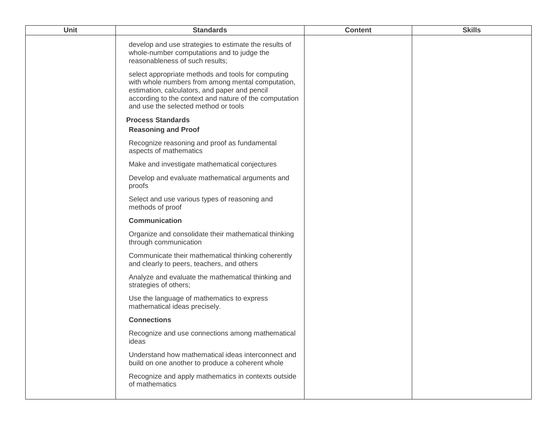| <b>Unit</b> | <b>Standards</b>                                                                                                                                                                                                                                           | <b>Content</b> | <b>Skills</b> |
|-------------|------------------------------------------------------------------------------------------------------------------------------------------------------------------------------------------------------------------------------------------------------------|----------------|---------------|
|             | develop and use strategies to estimate the results of<br>whole-number computations and to judge the<br>reasonableness of such results;                                                                                                                     |                |               |
|             | select appropriate methods and tools for computing<br>with whole numbers from among mental computation,<br>estimation, calculators, and paper and pencil<br>according to the context and nature of the computation<br>and use the selected method or tools |                |               |
|             | <b>Process Standards</b>                                                                                                                                                                                                                                   |                |               |
|             | <b>Reasoning and Proof</b>                                                                                                                                                                                                                                 |                |               |
|             | Recognize reasoning and proof as fundamental<br>aspects of mathematics                                                                                                                                                                                     |                |               |
|             | Make and investigate mathematical conjectures                                                                                                                                                                                                              |                |               |
|             | Develop and evaluate mathematical arguments and<br>proofs                                                                                                                                                                                                  |                |               |
|             | Select and use various types of reasoning and<br>methods of proof                                                                                                                                                                                          |                |               |
|             | Communication                                                                                                                                                                                                                                              |                |               |
|             | Organize and consolidate their mathematical thinking<br>through communication                                                                                                                                                                              |                |               |
|             | Communicate their mathematical thinking coherently<br>and clearly to peers, teachers, and others                                                                                                                                                           |                |               |
|             | Analyze and evaluate the mathematical thinking and<br>strategies of others;                                                                                                                                                                                |                |               |
|             | Use the language of mathematics to express<br>mathematical ideas precisely.                                                                                                                                                                                |                |               |
|             | <b>Connections</b>                                                                                                                                                                                                                                         |                |               |
|             | Recognize and use connections among mathematical<br>ideas                                                                                                                                                                                                  |                |               |
|             | Understand how mathematical ideas interconnect and<br>build on one another to produce a coherent whole                                                                                                                                                     |                |               |
|             | Recognize and apply mathematics in contexts outside<br>of mathematics                                                                                                                                                                                      |                |               |
|             |                                                                                                                                                                                                                                                            |                |               |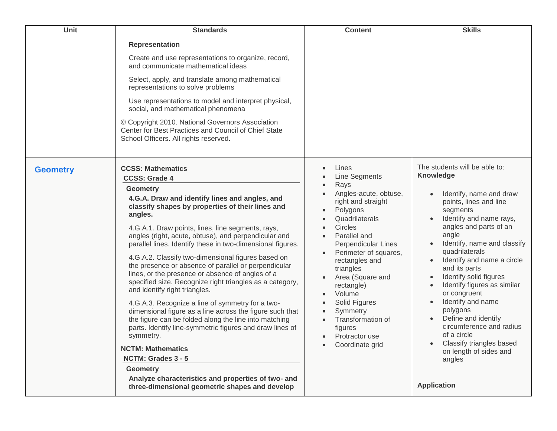| <b>Unit</b>     | <b>Standards</b>                                                                                                                                                                                                                                                                                                                                                                                                                                                                                                                                                                                                                                                                                                                                                                                                                                                                                                                                                                                                                                              | <b>Content</b>                                                                                                                                                                                                                                                                                                                                                                                       | <b>Skills</b>                                                                                                                                                                                                                                                                                                                                                                                                                                                                                                                                                   |
|-----------------|---------------------------------------------------------------------------------------------------------------------------------------------------------------------------------------------------------------------------------------------------------------------------------------------------------------------------------------------------------------------------------------------------------------------------------------------------------------------------------------------------------------------------------------------------------------------------------------------------------------------------------------------------------------------------------------------------------------------------------------------------------------------------------------------------------------------------------------------------------------------------------------------------------------------------------------------------------------------------------------------------------------------------------------------------------------|------------------------------------------------------------------------------------------------------------------------------------------------------------------------------------------------------------------------------------------------------------------------------------------------------------------------------------------------------------------------------------------------------|-----------------------------------------------------------------------------------------------------------------------------------------------------------------------------------------------------------------------------------------------------------------------------------------------------------------------------------------------------------------------------------------------------------------------------------------------------------------------------------------------------------------------------------------------------------------|
|                 | <b>Representation</b><br>Create and use representations to organize, record,<br>and communicate mathematical ideas<br>Select, apply, and translate among mathematical<br>representations to solve problems<br>Use representations to model and interpret physical,<br>social, and mathematical phenomena<br>© Copyright 2010. National Governors Association<br>Center for Best Practices and Council of Chief State<br>School Officers. All rights reserved.                                                                                                                                                                                                                                                                                                                                                                                                                                                                                                                                                                                                 |                                                                                                                                                                                                                                                                                                                                                                                                      |                                                                                                                                                                                                                                                                                                                                                                                                                                                                                                                                                                 |
| <b>Geometry</b> | <b>CCSS: Mathematics</b><br><b>CCSS: Grade 4</b><br><b>Geometry</b><br>4.G.A. Draw and identify lines and angles, and<br>classify shapes by properties of their lines and<br>angles.<br>4.G.A.1. Draw points, lines, line segments, rays,<br>angles (right, acute, obtuse), and perpendicular and<br>parallel lines. Identify these in two-dimensional figures.<br>4.G.A.2. Classify two-dimensional figures based on<br>the presence or absence of parallel or perpendicular<br>lines, or the presence or absence of angles of a<br>specified size. Recognize right triangles as a category,<br>and identify right triangles.<br>4.G.A.3. Recognize a line of symmetry for a two-<br>dimensional figure as a line across the figure such that<br>the figure can be folded along the line into matching<br>parts. Identify line-symmetric figures and draw lines of<br>symmetry.<br><b>NCTM: Mathematics</b><br>NCTM: Grades 3 - 5<br><b>Geometry</b><br>Analyze characteristics and properties of two- and<br>three-dimensional geometric shapes and develop | Lines<br><b>Line Segments</b><br>Rays<br>Angles-acute, obtuse,<br>right and straight<br>Polygons<br>Quadrilaterals<br>Circles<br>Parallel and<br>Perpendicular Lines<br>Perimeter of squares,<br>rectangles and<br>triangles<br>Area (Square and<br>rectangle)<br>Volume<br>Solid Figures<br>Symmetry<br>Transformation of<br>$\bullet$<br>figures<br>Protractor use<br>$\bullet$<br>Coordinate grid | The students will be able to:<br><b>Knowledge</b><br>Identify, name and draw<br>points, lines and line<br>segments<br>Identify and name rays,<br>angles and parts of an<br>angle<br>Identify, name and classify<br>quadrilaterals<br>Identify and name a circle<br>and its parts<br>Identify solid figures<br>Identify figures as similar<br>$\bullet$<br>or congruent<br>Identify and name<br>polygons<br>Define and identify<br>circumference and radius<br>of a circle<br>Classify triangles based<br>on length of sides and<br>angles<br><b>Application</b> |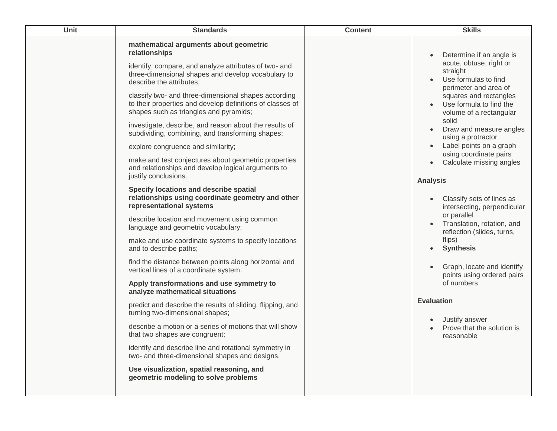| <b>Unit</b> | <b>Standards</b>                                                                                                                                                                                                                                                                                                                                                                                                                                                                                                                                                                                                                                                                                                                                                                                                                                                                                                                                                                                                                                                                                                                                                                                                                                                                                                                                                                                                                                                                                                                               | <b>Content</b> | <b>Skills</b>                                                                                                                                                                                                                                                                                                                                                                                                                                                                                                                                                                                                                                                                                                 |
|-------------|------------------------------------------------------------------------------------------------------------------------------------------------------------------------------------------------------------------------------------------------------------------------------------------------------------------------------------------------------------------------------------------------------------------------------------------------------------------------------------------------------------------------------------------------------------------------------------------------------------------------------------------------------------------------------------------------------------------------------------------------------------------------------------------------------------------------------------------------------------------------------------------------------------------------------------------------------------------------------------------------------------------------------------------------------------------------------------------------------------------------------------------------------------------------------------------------------------------------------------------------------------------------------------------------------------------------------------------------------------------------------------------------------------------------------------------------------------------------------------------------------------------------------------------------|----------------|---------------------------------------------------------------------------------------------------------------------------------------------------------------------------------------------------------------------------------------------------------------------------------------------------------------------------------------------------------------------------------------------------------------------------------------------------------------------------------------------------------------------------------------------------------------------------------------------------------------------------------------------------------------------------------------------------------------|
|             | mathematical arguments about geometric<br>relationships<br>identify, compare, and analyze attributes of two- and<br>three-dimensional shapes and develop vocabulary to<br>describe the attributes;<br>classify two- and three-dimensional shapes according<br>to their properties and develop definitions of classes of<br>shapes such as triangles and pyramids;<br>investigate, describe, and reason about the results of<br>subdividing, combining, and transforming shapes;<br>explore congruence and similarity;<br>make and test conjectures about geometric properties<br>and relationships and develop logical arguments to<br>justify conclusions.<br>Specify locations and describe spatial<br>relationships using coordinate geometry and other<br>representational systems<br>describe location and movement using common<br>language and geometric vocabulary;<br>make and use coordinate systems to specify locations<br>and to describe paths;<br>find the distance between points along horizontal and<br>vertical lines of a coordinate system.<br>Apply transformations and use symmetry to<br>analyze mathematical situations<br>predict and describe the results of sliding, flipping, and<br>turning two-dimensional shapes;<br>describe a motion or a series of motions that will show<br>that two shapes are congruent;<br>identify and describe line and rotational symmetry in<br>two- and three-dimensional shapes and designs.<br>Use visualization, spatial reasoning, and<br>geometric modeling to solve problems |                | Determine if an angle is<br>acute, obtuse, right or<br>straight<br>Use formulas to find<br>perimeter and area of<br>squares and rectangles<br>Use formula to find the<br>volume of a rectangular<br>solid<br>Draw and measure angles<br>using a protractor<br>Label points on a graph<br>using coordinate pairs<br>Calculate missing angles<br>$\bullet$<br><b>Analysis</b><br>Classify sets of lines as<br>intersecting, perpendicular<br>or parallel<br>Translation, rotation, and<br>reflection (slides, turns,<br>flips)<br><b>Synthesis</b><br>Graph, locate and identify<br>points using ordered pairs<br>of numbers<br><b>Evaluation</b><br>Justify answer<br>Prove that the solution is<br>reasonable |
|             |                                                                                                                                                                                                                                                                                                                                                                                                                                                                                                                                                                                                                                                                                                                                                                                                                                                                                                                                                                                                                                                                                                                                                                                                                                                                                                                                                                                                                                                                                                                                                |                |                                                                                                                                                                                                                                                                                                                                                                                                                                                                                                                                                                                                                                                                                                               |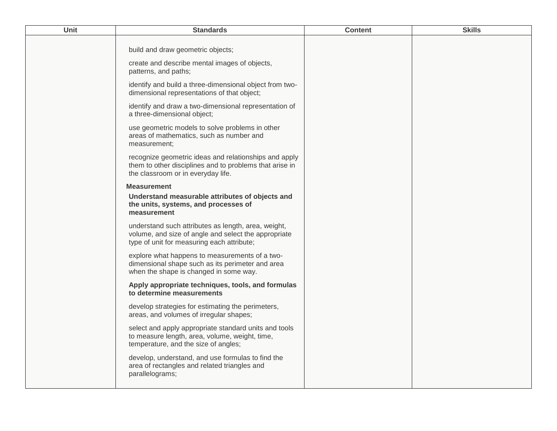| Unit | <b>Standards</b>                                                                                                                                          | <b>Content</b> | <b>Skills</b> |
|------|-----------------------------------------------------------------------------------------------------------------------------------------------------------|----------------|---------------|
|      | build and draw geometric objects;                                                                                                                         |                |               |
|      | create and describe mental images of objects,<br>patterns, and paths;                                                                                     |                |               |
|      | identify and build a three-dimensional object from two-<br>dimensional representations of that object;                                                    |                |               |
|      | identify and draw a two-dimensional representation of<br>a three-dimensional object;                                                                      |                |               |
|      | use geometric models to solve problems in other<br>areas of mathematics, such as number and<br>measurement;                                               |                |               |
|      | recognize geometric ideas and relationships and apply<br>them to other disciplines and to problems that arise in<br>the classroom or in everyday life.    |                |               |
|      | <b>Measurement</b>                                                                                                                                        |                |               |
|      | Understand measurable attributes of objects and<br>the units, systems, and processes of<br>measurement                                                    |                |               |
|      | understand such attributes as length, area, weight,<br>volume, and size of angle and select the appropriate<br>type of unit for measuring each attribute; |                |               |
|      | explore what happens to measurements of a two-<br>dimensional shape such as its perimeter and area<br>when the shape is changed in some way.              |                |               |
|      | Apply appropriate techniques, tools, and formulas<br>to determine measurements                                                                            |                |               |
|      | develop strategies for estimating the perimeters,<br>areas, and volumes of irregular shapes;                                                              |                |               |
|      | select and apply appropriate standard units and tools<br>to measure length, area, volume, weight, time,<br>temperature, and the size of angles;           |                |               |
|      | develop, understand, and use formulas to find the<br>area of rectangles and related triangles and<br>parallelograms;                                      |                |               |
|      |                                                                                                                                                           |                |               |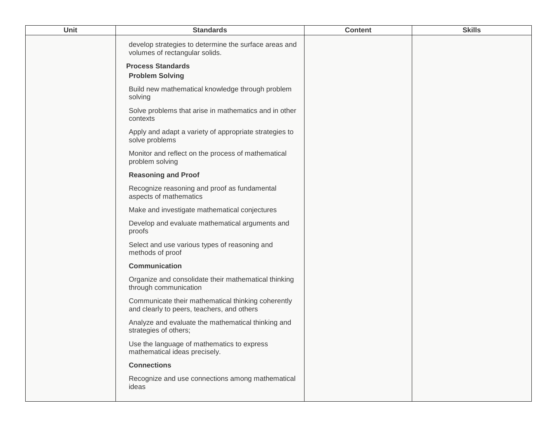| Unit | <b>Standards</b>                                                                                 | <b>Content</b> | <b>Skills</b> |
|------|--------------------------------------------------------------------------------------------------|----------------|---------------|
|      | develop strategies to determine the surface areas and<br>volumes of rectangular solids.          |                |               |
|      | <b>Process Standards</b><br><b>Problem Solving</b>                                               |                |               |
|      | Build new mathematical knowledge through problem<br>solving                                      |                |               |
|      | Solve problems that arise in mathematics and in other<br>contexts                                |                |               |
|      | Apply and adapt a variety of appropriate strategies to<br>solve problems                         |                |               |
|      | Monitor and reflect on the process of mathematical<br>problem solving                            |                |               |
|      | <b>Reasoning and Proof</b>                                                                       |                |               |
|      | Recognize reasoning and proof as fundamental<br>aspects of mathematics                           |                |               |
|      | Make and investigate mathematical conjectures                                                    |                |               |
|      | Develop and evaluate mathematical arguments and<br>proofs                                        |                |               |
|      | Select and use various types of reasoning and<br>methods of proof                                |                |               |
|      | <b>Communication</b>                                                                             |                |               |
|      | Organize and consolidate their mathematical thinking<br>through communication                    |                |               |
|      | Communicate their mathematical thinking coherently<br>and clearly to peers, teachers, and others |                |               |
|      | Analyze and evaluate the mathematical thinking and<br>strategies of others;                      |                |               |
|      | Use the language of mathematics to express<br>mathematical ideas precisely.                      |                |               |
|      | <b>Connections</b>                                                                               |                |               |
|      | Recognize and use connections among mathematical<br>ideas                                        |                |               |
|      |                                                                                                  |                |               |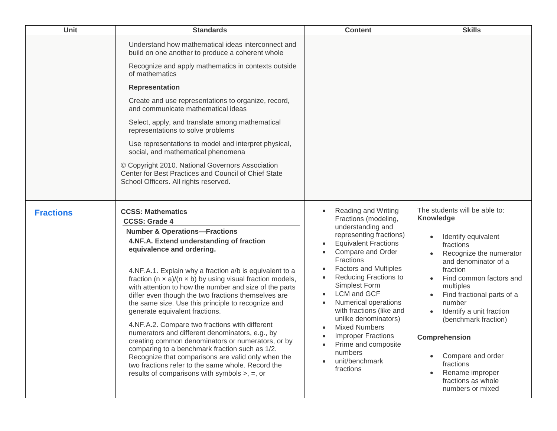| <b>Unit</b>      | <b>Standards</b>                                                                                                                                                                                                                                                                                                                                                                                                                                                                                                                                                                                                                                                                                                                                                                                                                                                                                      | <b>Content</b>                                                                                                                                                                                                                                                                                                                                                                                                                                                                                                | <b>Skills</b>                                                                                                                                                                                                                                                                                                                                                                                            |
|------------------|-------------------------------------------------------------------------------------------------------------------------------------------------------------------------------------------------------------------------------------------------------------------------------------------------------------------------------------------------------------------------------------------------------------------------------------------------------------------------------------------------------------------------------------------------------------------------------------------------------------------------------------------------------------------------------------------------------------------------------------------------------------------------------------------------------------------------------------------------------------------------------------------------------|---------------------------------------------------------------------------------------------------------------------------------------------------------------------------------------------------------------------------------------------------------------------------------------------------------------------------------------------------------------------------------------------------------------------------------------------------------------------------------------------------------------|----------------------------------------------------------------------------------------------------------------------------------------------------------------------------------------------------------------------------------------------------------------------------------------------------------------------------------------------------------------------------------------------------------|
|                  | Understand how mathematical ideas interconnect and<br>build on one another to produce a coherent whole<br>Recognize and apply mathematics in contexts outside<br>of mathematics<br><b>Representation</b><br>Create and use representations to organize, record,<br>and communicate mathematical ideas<br>Select, apply, and translate among mathematical<br>representations to solve problems                                                                                                                                                                                                                                                                                                                                                                                                                                                                                                         |                                                                                                                                                                                                                                                                                                                                                                                                                                                                                                               |                                                                                                                                                                                                                                                                                                                                                                                                          |
|                  | Use representations to model and interpret physical,<br>social, and mathematical phenomena<br>© Copyright 2010. National Governors Association<br>Center for Best Practices and Council of Chief State                                                                                                                                                                                                                                                                                                                                                                                                                                                                                                                                                                                                                                                                                                |                                                                                                                                                                                                                                                                                                                                                                                                                                                                                                               |                                                                                                                                                                                                                                                                                                                                                                                                          |
|                  | School Officers. All rights reserved.                                                                                                                                                                                                                                                                                                                                                                                                                                                                                                                                                                                                                                                                                                                                                                                                                                                                 |                                                                                                                                                                                                                                                                                                                                                                                                                                                                                                               |                                                                                                                                                                                                                                                                                                                                                                                                          |
| <b>Fractions</b> | <b>CCSS: Mathematics</b><br><b>CCSS: Grade 4</b><br><b>Number &amp; Operations-Fractions</b><br>4.NF.A. Extend understanding of fraction<br>equivalence and ordering.<br>4.NF.A.1. Explain why a fraction a/b is equivalent to a<br>fraction ( $n \times a$ )/( $n \times b$ ) by using visual fraction models,<br>with attention to how the number and size of the parts<br>differ even though the two fractions themselves are<br>the same size. Use this principle to recognize and<br>generate equivalent fractions.<br>4.NF.A.2. Compare two fractions with different<br>numerators and different denominators, e.g., by<br>creating common denominators or numerators, or by<br>comparing to a benchmark fraction such as 1/2.<br>Recognize that comparisons are valid only when the<br>two fractions refer to the same whole. Record the<br>results of comparisons with symbols $>$ , $=$ , or | <b>Reading and Writing</b><br>Fractions (modeling,<br>understanding and<br>representing fractions)<br><b>Equivalent Fractions</b><br>Compare and Order<br>Fractions<br><b>Factors and Multiples</b><br><b>Reducing Fractions to</b><br>$\bullet$<br>Simplest Form<br><b>LCM</b> and GCF<br><b>Numerical operations</b><br>with fractions (like and<br>unlike denominators)<br><b>Mixed Numbers</b><br><b>Improper Fractions</b><br>$\bullet$<br>Prime and composite<br>numbers<br>unit/benchmark<br>fractions | The students will be able to:<br><b>Knowledge</b><br>Identify equivalent<br>fractions<br>Recognize the numerator<br>and denominator of a<br>fraction<br>Find common factors and<br>multiples<br>Find fractional parts of a<br>number<br>Identify a unit fraction<br>(benchmark fraction)<br>Comprehension<br>Compare and order<br>fractions<br>Rename improper<br>fractions as whole<br>numbers or mixed |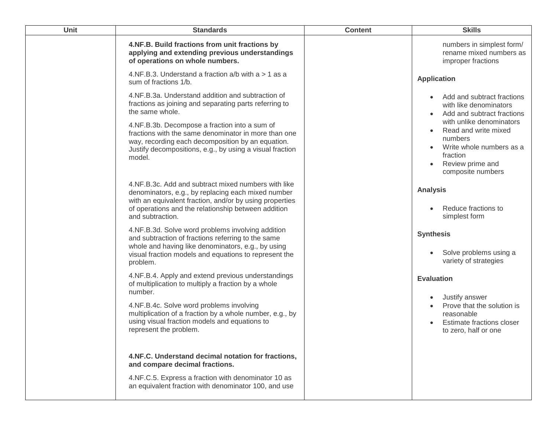| <b>Unit</b> | <b>Standards</b>                                                                                                                                                                                                                                | <b>Content</b> | <b>Skills</b>                                                                                                                                                          |
|-------------|-------------------------------------------------------------------------------------------------------------------------------------------------------------------------------------------------------------------------------------------------|----------------|------------------------------------------------------------------------------------------------------------------------------------------------------------------------|
|             | 4.NF.B. Build fractions from unit fractions by<br>applying and extending previous understandings<br>of operations on whole numbers.                                                                                                             |                | numbers in simplest form/<br>rename mixed numbers as<br>improper fractions                                                                                             |
|             | 4.NF.B.3. Understand a fraction $a/b$ with $a > 1$ as a<br>sum of fractions 1/b.                                                                                                                                                                |                | <b>Application</b>                                                                                                                                                     |
|             | 4.NF.B.3a. Understand addition and subtraction of<br>fractions as joining and separating parts referring to<br>the same whole.                                                                                                                  |                | Add and subtract fractions<br>with like denominators<br>Add and subtract fractions                                                                                     |
|             | 4.NF.B.3b. Decompose a fraction into a sum of<br>fractions with the same denominator in more than one<br>way, recording each decomposition by an equation.<br>Justify decompositions, e.g., by using a visual fraction<br>model.                |                | with unlike denominators<br>Read and write mixed<br>$\bullet$<br>numbers<br>Write whole numbers as a<br>fraction<br>Review prime and<br>$\bullet$<br>composite numbers |
|             | 4.NF.B.3c. Add and subtract mixed numbers with like<br>denominators, e.g., by replacing each mixed number<br>with an equivalent fraction, and/or by using properties<br>of operations and the relationship between addition<br>and subtraction. |                | <b>Analysis</b><br>Reduce fractions to<br>simplest form                                                                                                                |
|             | 4.NF.B.3d. Solve word problems involving addition<br>and subtraction of fractions referring to the same<br>whole and having like denominators, e.g., by using<br>visual fraction models and equations to represent the<br>problem.              |                | <b>Synthesis</b><br>Solve problems using a<br>variety of strategies                                                                                                    |
|             | 4.NF.B.4. Apply and extend previous understandings<br>of multiplication to multiply a fraction by a whole<br>number.                                                                                                                            |                | <b>Evaluation</b>                                                                                                                                                      |
|             | 4.NF.B.4c. Solve word problems involving<br>multiplication of a fraction by a whole number, e.g., by<br>using visual fraction models and equations to<br>represent the problem.                                                                 |                | Justify answer<br>Prove that the solution is<br>reasonable<br>Estimate fractions closer<br>to zero, half or one                                                        |
|             | 4.NF.C. Understand decimal notation for fractions,<br>and compare decimal fractions.                                                                                                                                                            |                |                                                                                                                                                                        |
|             | 4.NF.C.5. Express a fraction with denominator 10 as<br>an equivalent fraction with denominator 100, and use                                                                                                                                     |                |                                                                                                                                                                        |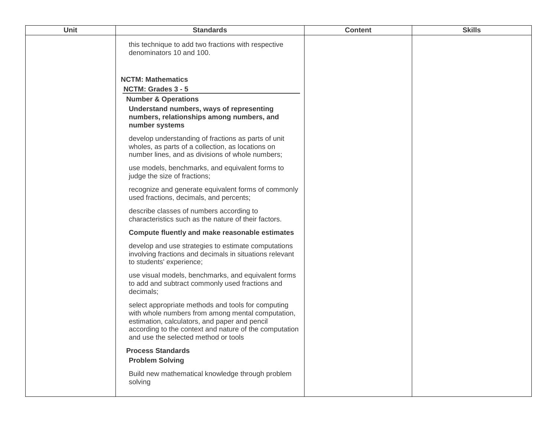| <b>Unit</b> | <b>Standards</b>                                                                                                                                                                                                                                           | <b>Content</b> | <b>Skills</b> |
|-------------|------------------------------------------------------------------------------------------------------------------------------------------------------------------------------------------------------------------------------------------------------------|----------------|---------------|
|             | this technique to add two fractions with respective<br>denominators 10 and 100.                                                                                                                                                                            |                |               |
|             | <b>NCTM: Mathematics</b><br>NCTM: Grades 3 - 5                                                                                                                                                                                                             |                |               |
|             | <b>Number &amp; Operations</b>                                                                                                                                                                                                                             |                |               |
|             | Understand numbers, ways of representing<br>numbers, relationships among numbers, and<br>number systems                                                                                                                                                    |                |               |
|             | develop understanding of fractions as parts of unit<br>wholes, as parts of a collection, as locations on<br>number lines, and as divisions of whole numbers;                                                                                               |                |               |
|             | use models, benchmarks, and equivalent forms to<br>judge the size of fractions;                                                                                                                                                                            |                |               |
|             | recognize and generate equivalent forms of commonly<br>used fractions, decimals, and percents;                                                                                                                                                             |                |               |
|             | describe classes of numbers according to<br>characteristics such as the nature of their factors.                                                                                                                                                           |                |               |
|             | Compute fluently and make reasonable estimates                                                                                                                                                                                                             |                |               |
|             | develop and use strategies to estimate computations<br>involving fractions and decimals in situations relevant<br>to students' experience;                                                                                                                 |                |               |
|             | use visual models, benchmarks, and equivalent forms<br>to add and subtract commonly used fractions and<br>decimals;                                                                                                                                        |                |               |
|             | select appropriate methods and tools for computing<br>with whole numbers from among mental computation,<br>estimation, calculators, and paper and pencil<br>according to the context and nature of the computation<br>and use the selected method or tools |                |               |
|             | <b>Process Standards</b><br><b>Problem Solving</b>                                                                                                                                                                                                         |                |               |
|             | Build new mathematical knowledge through problem<br>solving                                                                                                                                                                                                |                |               |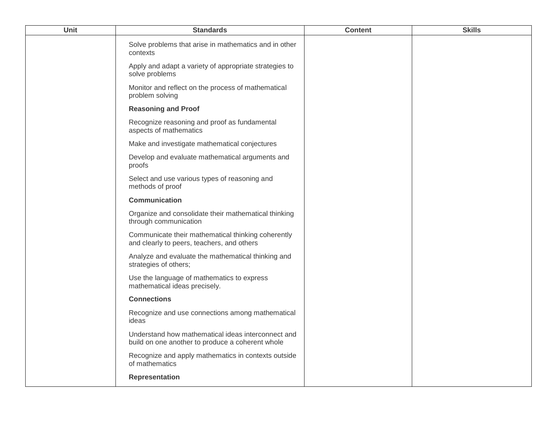| Unit | <b>Standards</b>                                                                                       | <b>Content</b> | <b>Skills</b> |
|------|--------------------------------------------------------------------------------------------------------|----------------|---------------|
|      | Solve problems that arise in mathematics and in other<br>contexts                                      |                |               |
|      | Apply and adapt a variety of appropriate strategies to<br>solve problems                               |                |               |
|      | Monitor and reflect on the process of mathematical<br>problem solving                                  |                |               |
|      | <b>Reasoning and Proof</b>                                                                             |                |               |
|      | Recognize reasoning and proof as fundamental<br>aspects of mathematics                                 |                |               |
|      | Make and investigate mathematical conjectures                                                          |                |               |
|      | Develop and evaluate mathematical arguments and<br>proofs                                              |                |               |
|      | Select and use various types of reasoning and<br>methods of proof                                      |                |               |
|      | Communication                                                                                          |                |               |
|      | Organize and consolidate their mathematical thinking<br>through communication                          |                |               |
|      | Communicate their mathematical thinking coherently<br>and clearly to peers, teachers, and others       |                |               |
|      | Analyze and evaluate the mathematical thinking and<br>strategies of others;                            |                |               |
|      | Use the language of mathematics to express<br>mathematical ideas precisely.                            |                |               |
|      | <b>Connections</b>                                                                                     |                |               |
|      | Recognize and use connections among mathematical<br>ideas                                              |                |               |
|      | Understand how mathematical ideas interconnect and<br>build on one another to produce a coherent whole |                |               |
|      | Recognize and apply mathematics in contexts outside<br>of mathematics                                  |                |               |
|      | <b>Representation</b>                                                                                  |                |               |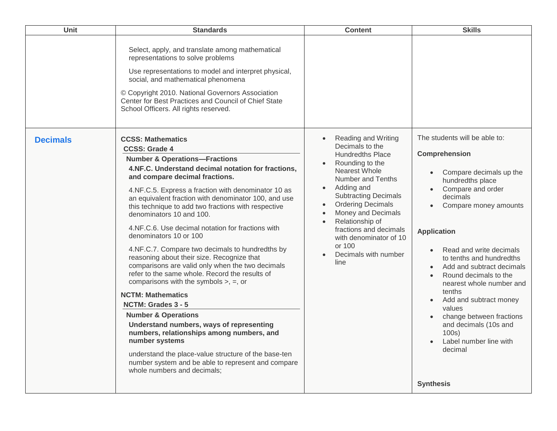| Unit            | <b>Standards</b>                                                                                                                                                                                                                                                                                                                                                                                                                                                                                                                                                                                                                                                                                                                                                                                                                                                                                                                                                                                                                                                        | <b>Content</b>                                                                                                                                                                                                                                                                                                                                                                     | <b>Skills</b>                                                                                                                                                                                                                                                                                                                                                                                                                                                                                      |
|-----------------|-------------------------------------------------------------------------------------------------------------------------------------------------------------------------------------------------------------------------------------------------------------------------------------------------------------------------------------------------------------------------------------------------------------------------------------------------------------------------------------------------------------------------------------------------------------------------------------------------------------------------------------------------------------------------------------------------------------------------------------------------------------------------------------------------------------------------------------------------------------------------------------------------------------------------------------------------------------------------------------------------------------------------------------------------------------------------|------------------------------------------------------------------------------------------------------------------------------------------------------------------------------------------------------------------------------------------------------------------------------------------------------------------------------------------------------------------------------------|----------------------------------------------------------------------------------------------------------------------------------------------------------------------------------------------------------------------------------------------------------------------------------------------------------------------------------------------------------------------------------------------------------------------------------------------------------------------------------------------------|
|                 | Select, apply, and translate among mathematical<br>representations to solve problems<br>Use representations to model and interpret physical,<br>social, and mathematical phenomena<br>© Copyright 2010. National Governors Association<br>Center for Best Practices and Council of Chief State<br>School Officers. All rights reserved.                                                                                                                                                                                                                                                                                                                                                                                                                                                                                                                                                                                                                                                                                                                                 |                                                                                                                                                                                                                                                                                                                                                                                    |                                                                                                                                                                                                                                                                                                                                                                                                                                                                                                    |
| <b>Decimals</b> | <b>CCSS: Mathematics</b><br><b>CCSS: Grade 4</b><br><b>Number &amp; Operations-Fractions</b><br>4.NF.C. Understand decimal notation for fractions,<br>and compare decimal fractions.<br>4.NF.C.5. Express a fraction with denominator 10 as<br>an equivalent fraction with denominator 100, and use<br>this technique to add two fractions with respective<br>denominators 10 and 100.<br>4.NF.C.6. Use decimal notation for fractions with<br>denominators 10 or 100<br>4.NF.C.7. Compare two decimals to hundredths by<br>reasoning about their size. Recognize that<br>comparisons are valid only when the two decimals<br>refer to the same whole. Record the results of<br>comparisons with the symbols $>$ , $=$ , or<br><b>NCTM: Mathematics</b><br>NCTM: Grades 3 - 5<br><b>Number &amp; Operations</b><br>Understand numbers, ways of representing<br>numbers, relationships among numbers, and<br>number systems<br>understand the place-value structure of the base-ten<br>number system and be able to represent and compare<br>whole numbers and decimals; | <b>Reading and Writing</b><br>Decimals to the<br><b>Hundredths Place</b><br>Rounding to the<br><b>Nearest Whole</b><br>Number and Tenths<br>Adding and<br>$\bullet$<br><b>Subtracting Decimals</b><br><b>Ordering Decimals</b><br>$\bullet$<br>Money and Decimals<br>Relationship of<br>fractions and decimals<br>with denominator of 10<br>or 100<br>Decimals with number<br>line | The students will be able to:<br><b>Comprehension</b><br>Compare decimals up the<br>hundredths place<br>Compare and order<br>decimals<br>Compare money amounts<br><b>Application</b><br>Read and write decimals<br>to tenths and hundredths<br>Add and subtract decimals<br>Round decimals to the<br>nearest whole number and<br>tenths<br>Add and subtract money<br>values<br>change between fractions<br>and decimals (10s and<br>100s)<br>Label number line with<br>decimal<br><b>Synthesis</b> |
|                 |                                                                                                                                                                                                                                                                                                                                                                                                                                                                                                                                                                                                                                                                                                                                                                                                                                                                                                                                                                                                                                                                         |                                                                                                                                                                                                                                                                                                                                                                                    |                                                                                                                                                                                                                                                                                                                                                                                                                                                                                                    |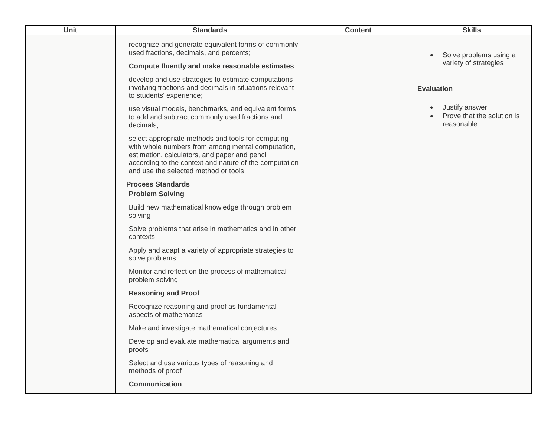| Unit | <b>Standards</b>                                                                                                                                                                                                                                           | <b>Content</b> | <b>Skills</b>                                              |
|------|------------------------------------------------------------------------------------------------------------------------------------------------------------------------------------------------------------------------------------------------------------|----------------|------------------------------------------------------------|
|      | recognize and generate equivalent forms of commonly<br>used fractions, decimals, and percents;                                                                                                                                                             |                | Solve problems using a                                     |
|      | Compute fluently and make reasonable estimates                                                                                                                                                                                                             |                | variety of strategies                                      |
|      | develop and use strategies to estimate computations<br>involving fractions and decimals in situations relevant<br>to students' experience;                                                                                                                 |                | <b>Evaluation</b>                                          |
|      | use visual models, benchmarks, and equivalent forms<br>to add and subtract commonly used fractions and<br>decimals;                                                                                                                                        |                | Justify answer<br>Prove that the solution is<br>reasonable |
|      | select appropriate methods and tools for computing<br>with whole numbers from among mental computation,<br>estimation, calculators, and paper and pencil<br>according to the context and nature of the computation<br>and use the selected method or tools |                |                                                            |
|      | <b>Process Standards</b><br><b>Problem Solving</b>                                                                                                                                                                                                         |                |                                                            |
|      | Build new mathematical knowledge through problem<br>solving                                                                                                                                                                                                |                |                                                            |
|      | Solve problems that arise in mathematics and in other<br>contexts                                                                                                                                                                                          |                |                                                            |
|      | Apply and adapt a variety of appropriate strategies to<br>solve problems                                                                                                                                                                                   |                |                                                            |
|      | Monitor and reflect on the process of mathematical<br>problem solving                                                                                                                                                                                      |                |                                                            |
|      | <b>Reasoning and Proof</b>                                                                                                                                                                                                                                 |                |                                                            |
|      | Recognize reasoning and proof as fundamental<br>aspects of mathematics                                                                                                                                                                                     |                |                                                            |
|      | Make and investigate mathematical conjectures                                                                                                                                                                                                              |                |                                                            |
|      | Develop and evaluate mathematical arguments and<br>proofs                                                                                                                                                                                                  |                |                                                            |
|      | Select and use various types of reasoning and<br>methods of proof                                                                                                                                                                                          |                |                                                            |
|      | <b>Communication</b>                                                                                                                                                                                                                                       |                |                                                            |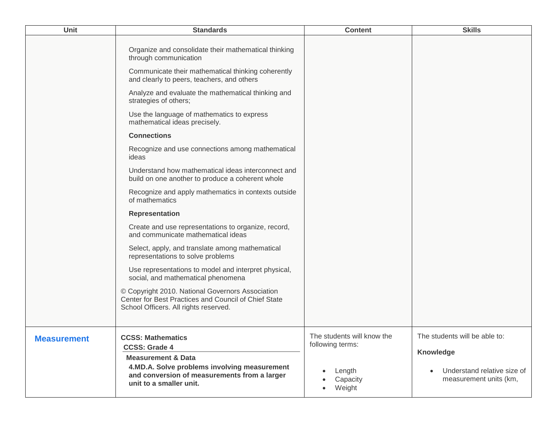| Organize and consolidate their mathematical thinking<br>through communication<br>Communicate their mathematical thinking coherently<br>and clearly to peers, teachers, and others<br>Analyze and evaluate the mathematical thinking and<br>strategies of others;<br>Use the language of mathematics to express<br>mathematical ideas precisely.<br><b>Connections</b><br>Recognize and use connections among mathematical<br>ideas<br>Understand how mathematical ideas interconnect and<br>build on one another to produce a coherent whole<br>Recognize and apply mathematics in contexts outside<br>of mathematics<br><b>Representation</b><br>Create and use representations to organize, record,<br>and communicate mathematical ideas<br>Select, apply, and translate among mathematical<br>representations to solve problems<br>Use representations to model and interpret physical,<br>social, and mathematical phenomena<br>© Copyright 2010. National Governors Association<br>Center for Best Practices and Council of Chief State<br>School Officers. All rights reserved.<br>The students will know the<br>The students will be able to:<br><b>CCSS: Mathematics</b><br><b>Measurement</b><br>following terms:<br><b>CCSS: Grade 4</b><br>Knowledge<br><b>Measurement &amp; Data</b><br>4.MD.A. Solve problems involving measurement<br>Understand relative size of<br>Length<br>and conversion of measurements from a larger<br>measurement units (km,<br>Capacity | <b>Unit</b> | <b>Standards</b>        | <b>Content</b> | <b>Skills</b> |
|----------------------------------------------------------------------------------------------------------------------------------------------------------------------------------------------------------------------------------------------------------------------------------------------------------------------------------------------------------------------------------------------------------------------------------------------------------------------------------------------------------------------------------------------------------------------------------------------------------------------------------------------------------------------------------------------------------------------------------------------------------------------------------------------------------------------------------------------------------------------------------------------------------------------------------------------------------------------------------------------------------------------------------------------------------------------------------------------------------------------------------------------------------------------------------------------------------------------------------------------------------------------------------------------------------------------------------------------------------------------------------------------------------------------------------------------------------------------------------|-------------|-------------------------|----------------|---------------|
|                                                                                                                                                                                                                                                                                                                                                                                                                                                                                                                                                                                                                                                                                                                                                                                                                                                                                                                                                                                                                                                                                                                                                                                                                                                                                                                                                                                                                                                                                  |             |                         |                |               |
|                                                                                                                                                                                                                                                                                                                                                                                                                                                                                                                                                                                                                                                                                                                                                                                                                                                                                                                                                                                                                                                                                                                                                                                                                                                                                                                                                                                                                                                                                  |             |                         |                |               |
|                                                                                                                                                                                                                                                                                                                                                                                                                                                                                                                                                                                                                                                                                                                                                                                                                                                                                                                                                                                                                                                                                                                                                                                                                                                                                                                                                                                                                                                                                  |             |                         |                |               |
|                                                                                                                                                                                                                                                                                                                                                                                                                                                                                                                                                                                                                                                                                                                                                                                                                                                                                                                                                                                                                                                                                                                                                                                                                                                                                                                                                                                                                                                                                  |             |                         |                |               |
|                                                                                                                                                                                                                                                                                                                                                                                                                                                                                                                                                                                                                                                                                                                                                                                                                                                                                                                                                                                                                                                                                                                                                                                                                                                                                                                                                                                                                                                                                  |             |                         |                |               |
|                                                                                                                                                                                                                                                                                                                                                                                                                                                                                                                                                                                                                                                                                                                                                                                                                                                                                                                                                                                                                                                                                                                                                                                                                                                                                                                                                                                                                                                                                  |             |                         |                |               |
|                                                                                                                                                                                                                                                                                                                                                                                                                                                                                                                                                                                                                                                                                                                                                                                                                                                                                                                                                                                                                                                                                                                                                                                                                                                                                                                                                                                                                                                                                  |             |                         |                |               |
|                                                                                                                                                                                                                                                                                                                                                                                                                                                                                                                                                                                                                                                                                                                                                                                                                                                                                                                                                                                                                                                                                                                                                                                                                                                                                                                                                                                                                                                                                  |             |                         |                |               |
|                                                                                                                                                                                                                                                                                                                                                                                                                                                                                                                                                                                                                                                                                                                                                                                                                                                                                                                                                                                                                                                                                                                                                                                                                                                                                                                                                                                                                                                                                  |             | unit to a smaller unit. | Weight         |               |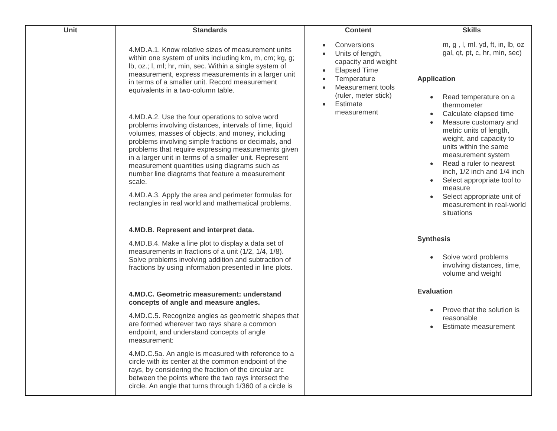| Unit | <b>Standards</b>                                                                                                                                                                                                                                                                                                                                                                                                                                                                                                                                                                                                                                                                                                                                                                                                                                                                             | <b>Content</b>                                                                                                                                                                    | <b>Skills</b>                                                                                                                                                                                                                                                                                                                                                                                                                                                                                |
|------|----------------------------------------------------------------------------------------------------------------------------------------------------------------------------------------------------------------------------------------------------------------------------------------------------------------------------------------------------------------------------------------------------------------------------------------------------------------------------------------------------------------------------------------------------------------------------------------------------------------------------------------------------------------------------------------------------------------------------------------------------------------------------------------------------------------------------------------------------------------------------------------------|-----------------------------------------------------------------------------------------------------------------------------------------------------------------------------------|----------------------------------------------------------------------------------------------------------------------------------------------------------------------------------------------------------------------------------------------------------------------------------------------------------------------------------------------------------------------------------------------------------------------------------------------------------------------------------------------|
|      | 4.MD.A.1. Know relative sizes of measurement units<br>within one system of units including km, m, cm; kg, g;<br>lb, oz.; I, ml; hr, min, sec. Within a single system of<br>measurement, express measurements in a larger unit<br>in terms of a smaller unit. Record measurement<br>equivalents in a two-column table.<br>4.MD.A.2. Use the four operations to solve word<br>problems involving distances, intervals of time, liquid<br>volumes, masses of objects, and money, including<br>problems involving simple fractions or decimals, and<br>problems that require expressing measurements given<br>in a larger unit in terms of a smaller unit. Represent<br>measurement quantities using diagrams such as<br>number line diagrams that feature a measurement<br>scale.<br>4.MD.A.3. Apply the area and perimeter formulas for<br>rectangles in real world and mathematical problems. | Conversions<br>Units of length,<br>capacity and weight<br><b>Elapsed Time</b><br>Temperature<br>Measurement tools<br>(ruler, meter stick)<br>Estimate<br>$\bullet$<br>measurement | m, g, l, ml. yd, ft, in, lb, oz<br>gal, qt, pt, c, hr, min, sec)<br><b>Application</b><br>Read temperature on a<br>thermometer<br>Calculate elapsed time<br>Measure customary and<br>metric units of length,<br>weight, and capacity to<br>units within the same<br>measurement system<br>Read a ruler to nearest<br>inch, 1/2 inch and 1/4 inch<br>Select appropriate tool to<br>$\bullet$<br>measure<br>Select appropriate unit of<br>$\bullet$<br>measurement in real-world<br>situations |
|      | 4.MD.B. Represent and interpret data.<br>4.MD.B.4. Make a line plot to display a data set of<br>measurements in fractions of a unit (1/2, 1/4, 1/8).<br>Solve problems involving addition and subtraction of<br>fractions by using information presented in line plots.                                                                                                                                                                                                                                                                                                                                                                                                                                                                                                                                                                                                                      |                                                                                                                                                                                   | <b>Synthesis</b><br>Solve word problems<br>involving distances, time,<br>volume and weight                                                                                                                                                                                                                                                                                                                                                                                                   |
|      | 4.MD.C. Geometric measurement: understand<br>concepts of angle and measure angles.<br>4.MD.C.5. Recognize angles as geometric shapes that<br>are formed wherever two rays share a common<br>endpoint, and understand concepts of angle<br>measurement:<br>4.MD.C.5a. An angle is measured with reference to a<br>circle with its center at the common endpoint of the<br>rays, by considering the fraction of the circular arc<br>between the points where the two rays intersect the<br>circle. An angle that turns through 1/360 of a circle is                                                                                                                                                                                                                                                                                                                                            |                                                                                                                                                                                   | <b>Evaluation</b><br>Prove that the solution is<br>reasonable<br>Estimate measurement                                                                                                                                                                                                                                                                                                                                                                                                        |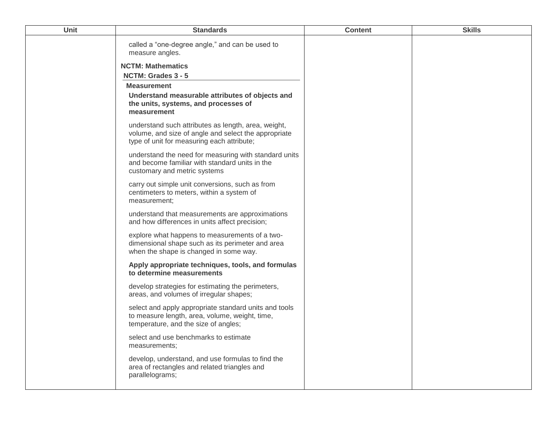| Unit | <b>Standards</b>                                                                                                                                          | <b>Content</b> | <b>Skills</b> |
|------|-----------------------------------------------------------------------------------------------------------------------------------------------------------|----------------|---------------|
|      | called a "one-degree angle," and can be used to<br>measure angles.                                                                                        |                |               |
|      | <b>NCTM: Mathematics</b>                                                                                                                                  |                |               |
|      | NCTM: Grades 3 - 5                                                                                                                                        |                |               |
|      | <b>Measurement</b>                                                                                                                                        |                |               |
|      | Understand measurable attributes of objects and<br>the units, systems, and processes of<br>measurement                                                    |                |               |
|      | understand such attributes as length, area, weight,<br>volume, and size of angle and select the appropriate<br>type of unit for measuring each attribute; |                |               |
|      | understand the need for measuring with standard units<br>and become familiar with standard units in the<br>customary and metric systems                   |                |               |
|      | carry out simple unit conversions, such as from<br>centimeters to meters, within a system of<br>measurement;                                              |                |               |
|      | understand that measurements are approximations<br>and how differences in units affect precision;                                                         |                |               |
|      | explore what happens to measurements of a two-<br>dimensional shape such as its perimeter and area<br>when the shape is changed in some way.              |                |               |
|      | Apply appropriate techniques, tools, and formulas<br>to determine measurements                                                                            |                |               |
|      | develop strategies for estimating the perimeters,<br>areas, and volumes of irregular shapes;                                                              |                |               |
|      | select and apply appropriate standard units and tools<br>to measure length, area, volume, weight, time,<br>temperature, and the size of angles;           |                |               |
|      | select and use benchmarks to estimate<br>measurements;                                                                                                    |                |               |
|      | develop, understand, and use formulas to find the<br>area of rectangles and related triangles and<br>parallelograms;                                      |                |               |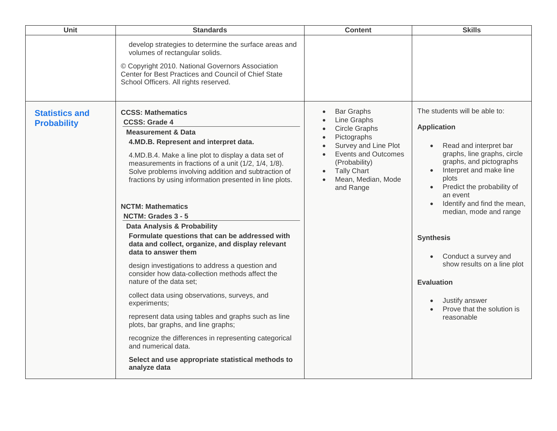| <b>Unit</b>                                 | <b>Standards</b>                                                                                                                                                                                                                                                                                                                                                                                                                                                                                                                                                                                                                                                                                                                                                                                                                                                                                                                                                                                                                | <b>Content</b>                                                                                                                                                                                                                                 | <b>Skills</b>                                                                                                                                                                                                                                                                                                                                                                                                                                |
|---------------------------------------------|---------------------------------------------------------------------------------------------------------------------------------------------------------------------------------------------------------------------------------------------------------------------------------------------------------------------------------------------------------------------------------------------------------------------------------------------------------------------------------------------------------------------------------------------------------------------------------------------------------------------------------------------------------------------------------------------------------------------------------------------------------------------------------------------------------------------------------------------------------------------------------------------------------------------------------------------------------------------------------------------------------------------------------|------------------------------------------------------------------------------------------------------------------------------------------------------------------------------------------------------------------------------------------------|----------------------------------------------------------------------------------------------------------------------------------------------------------------------------------------------------------------------------------------------------------------------------------------------------------------------------------------------------------------------------------------------------------------------------------------------|
|                                             | develop strategies to determine the surface areas and<br>volumes of rectangular solids.<br>© Copyright 2010. National Governors Association<br>Center for Best Practices and Council of Chief State<br>School Officers. All rights reserved.                                                                                                                                                                                                                                                                                                                                                                                                                                                                                                                                                                                                                                                                                                                                                                                    |                                                                                                                                                                                                                                                |                                                                                                                                                                                                                                                                                                                                                                                                                                              |
| <b>Statistics and</b><br><b>Probability</b> | <b>CCSS: Mathematics</b><br><b>CCSS: Grade 4</b><br><b>Measurement &amp; Data</b><br>4.MD.B. Represent and interpret data.<br>4.MD.B.4. Make a line plot to display a data set of<br>measurements in fractions of a unit (1/2, 1/4, 1/8).<br>Solve problems involving addition and subtraction of<br>fractions by using information presented in line plots.<br><b>NCTM: Mathematics</b><br>NCTM: Grades 3 - 5<br>Data Analysis & Probability<br>Formulate questions that can be addressed with<br>data and collect, organize, and display relevant<br>data to answer them<br>design investigations to address a question and<br>consider how data-collection methods affect the<br>nature of the data set;<br>collect data using observations, surveys, and<br>experiments;<br>represent data using tables and graphs such as line<br>plots, bar graphs, and line graphs;<br>recognize the differences in representing categorical<br>and numerical data.<br>Select and use appropriate statistical methods to<br>analyze data | <b>Bar Graphs</b><br>Line Graphs<br><b>Circle Graphs</b><br>Pictographs<br>Survey and Line Plot<br>$\bullet$<br><b>Events and Outcomes</b><br>$\bullet$<br>(Probability)<br><b>Tally Chart</b><br>$\bullet$<br>Mean, Median, Mode<br>and Range | The students will be able to:<br><b>Application</b><br>Read and interpret bar<br>graphs, line graphs, circle<br>graphs, and pictographs<br>Interpret and make line<br>plots<br>Predict the probability of<br>an event<br>Identify and find the mean,<br>median, mode and range<br><b>Synthesis</b><br>Conduct a survey and<br>show results on a line plot<br><b>Evaluation</b><br>Justify answer<br>Prove that the solution is<br>reasonable |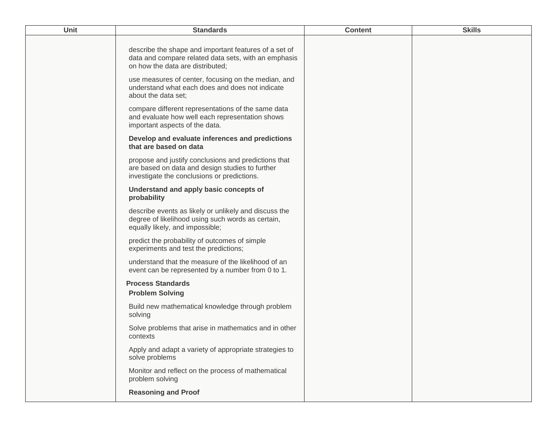| Unit | <b>Standards</b>                                                                                                                                       | <b>Content</b> | <b>Skills</b> |
|------|--------------------------------------------------------------------------------------------------------------------------------------------------------|----------------|---------------|
|      | describe the shape and important features of a set of<br>data and compare related data sets, with an emphasis<br>on how the data are distributed;      |                |               |
|      | use measures of center, focusing on the median, and<br>understand what each does and does not indicate<br>about the data set;                          |                |               |
|      | compare different representations of the same data<br>and evaluate how well each representation shows<br>important aspects of the data.                |                |               |
|      | Develop and evaluate inferences and predictions<br>that are based on data                                                                              |                |               |
|      | propose and justify conclusions and predictions that<br>are based on data and design studies to further<br>investigate the conclusions or predictions. |                |               |
|      | Understand and apply basic concepts of<br>probability                                                                                                  |                |               |
|      | describe events as likely or unlikely and discuss the<br>degree of likelihood using such words as certain,<br>equally likely, and impossible;          |                |               |
|      | predict the probability of outcomes of simple<br>experiments and test the predictions;                                                                 |                |               |
|      | understand that the measure of the likelihood of an<br>event can be represented by a number from 0 to 1.                                               |                |               |
|      | <b>Process Standards</b><br><b>Problem Solving</b>                                                                                                     |                |               |
|      | Build new mathematical knowledge through problem<br>solving                                                                                            |                |               |
|      | Solve problems that arise in mathematics and in other<br>contexts                                                                                      |                |               |
|      | Apply and adapt a variety of appropriate strategies to<br>solve problems                                                                               |                |               |
|      | Monitor and reflect on the process of mathematical<br>problem solving                                                                                  |                |               |
|      | <b>Reasoning and Proof</b>                                                                                                                             |                |               |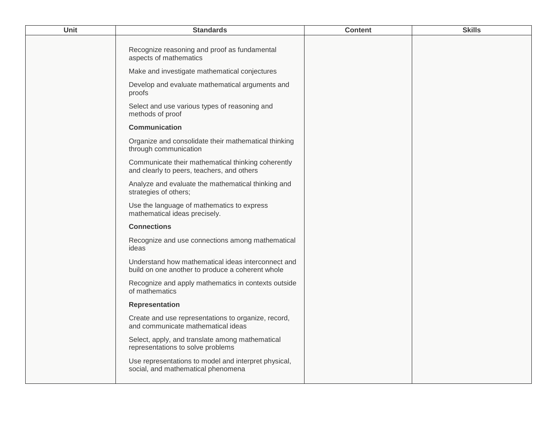| Unit | <b>Standards</b>                                                                                       | <b>Content</b> | <b>Skills</b> |
|------|--------------------------------------------------------------------------------------------------------|----------------|---------------|
|      | Recognize reasoning and proof as fundamental<br>aspects of mathematics                                 |                |               |
|      | Make and investigate mathematical conjectures                                                          |                |               |
|      | Develop and evaluate mathematical arguments and<br>proofs                                              |                |               |
|      | Select and use various types of reasoning and<br>methods of proof                                      |                |               |
|      | <b>Communication</b>                                                                                   |                |               |
|      | Organize and consolidate their mathematical thinking<br>through communication                          |                |               |
|      | Communicate their mathematical thinking coherently<br>and clearly to peers, teachers, and others       |                |               |
|      | Analyze and evaluate the mathematical thinking and<br>strategies of others;                            |                |               |
|      | Use the language of mathematics to express<br>mathematical ideas precisely.                            |                |               |
|      | <b>Connections</b>                                                                                     |                |               |
|      | Recognize and use connections among mathematical<br>ideas                                              |                |               |
|      | Understand how mathematical ideas interconnect and<br>build on one another to produce a coherent whole |                |               |
|      | Recognize and apply mathematics in contexts outside<br>of mathematics                                  |                |               |
|      | <b>Representation</b>                                                                                  |                |               |
|      | Create and use representations to organize, record,<br>and communicate mathematical ideas              |                |               |
|      | Select, apply, and translate among mathematical<br>representations to solve problems                   |                |               |
|      | Use representations to model and interpret physical,<br>social, and mathematical phenomena             |                |               |
|      |                                                                                                        |                |               |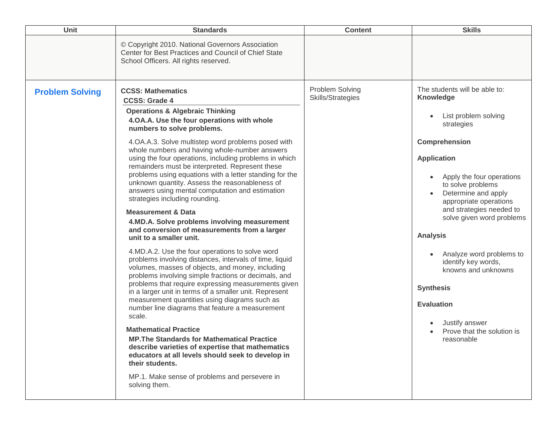| Unit                   | <b>Standards</b>                                                                                                                                                                                                                                                                                                                                                                                                                                                                                                                                                                                                                                                                                                                                                                                                                                                                                                                                                                                                                                                                                                                                                                                                                                                                                                                                                                                                                                                                                          | <b>Content</b>                       | <b>Skills</b>                                                                                                                                                                                                                                                                                                                                                                                                                                                                           |
|------------------------|-----------------------------------------------------------------------------------------------------------------------------------------------------------------------------------------------------------------------------------------------------------------------------------------------------------------------------------------------------------------------------------------------------------------------------------------------------------------------------------------------------------------------------------------------------------------------------------------------------------------------------------------------------------------------------------------------------------------------------------------------------------------------------------------------------------------------------------------------------------------------------------------------------------------------------------------------------------------------------------------------------------------------------------------------------------------------------------------------------------------------------------------------------------------------------------------------------------------------------------------------------------------------------------------------------------------------------------------------------------------------------------------------------------------------------------------------------------------------------------------------------------|--------------------------------------|-----------------------------------------------------------------------------------------------------------------------------------------------------------------------------------------------------------------------------------------------------------------------------------------------------------------------------------------------------------------------------------------------------------------------------------------------------------------------------------------|
|                        | © Copyright 2010. National Governors Association<br>Center for Best Practices and Council of Chief State<br>School Officers. All rights reserved.                                                                                                                                                                                                                                                                                                                                                                                                                                                                                                                                                                                                                                                                                                                                                                                                                                                                                                                                                                                                                                                                                                                                                                                                                                                                                                                                                         |                                      |                                                                                                                                                                                                                                                                                                                                                                                                                                                                                         |
| <b>Problem Solving</b> | <b>CCSS: Mathematics</b><br><b>CCSS: Grade 4</b><br><b>Operations &amp; Algebraic Thinking</b><br>4.OA.A. Use the four operations with whole<br>numbers to solve problems.<br>4.OA.A.3. Solve multistep word problems posed with<br>whole numbers and having whole-number answers<br>using the four operations, including problems in which<br>remainders must be interpreted. Represent these<br>problems using equations with a letter standing for the<br>unknown quantity. Assess the reasonableness of<br>answers using mental computation and estimation<br>strategies including rounding.<br><b>Measurement &amp; Data</b><br>4.MD.A. Solve problems involving measurement<br>and conversion of measurements from a larger<br>unit to a smaller unit.<br>4.MD.A.2. Use the four operations to solve word<br>problems involving distances, intervals of time, liquid<br>volumes, masses of objects, and money, including<br>problems involving simple fractions or decimals, and<br>problems that require expressing measurements given<br>in a larger unit in terms of a smaller unit. Represent<br>measurement quantities using diagrams such as<br>number line diagrams that feature a measurement<br>scale.<br><b>Mathematical Practice</b><br><b>MP. The Standards for Mathematical Practice</b><br>describe varieties of expertise that mathematics<br>educators at all levels should seek to develop in<br>their students.<br>MP.1. Make sense of problems and persevere in<br>solving them. | Problem Solving<br>Skills/Strategies | The students will be able to:<br>Knowledge<br>List problem solving<br>strategies<br>Comprehension<br><b>Application</b><br>Apply the four operations<br>to solve problems<br>Determine and apply<br>appropriate operations<br>and strategies needed to<br>solve given word problems<br><b>Analysis</b><br>Analyze word problems to<br>identify key words,<br>knowns and unknowns<br><b>Synthesis</b><br><b>Evaluation</b><br>Justify answer<br>Prove that the solution is<br>reasonable |